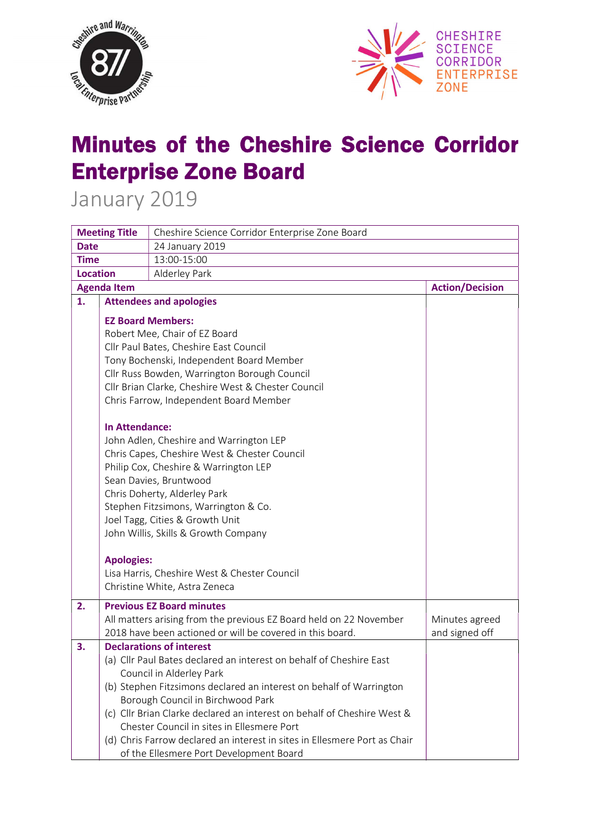



## Minutes of the Cheshire Science Corridor Enterprise Zone Board

January 2019

| <b>Meeting Title</b> |                                              | Cheshire Science Corridor Enterprise Zone Board                           |                        |  |
|----------------------|----------------------------------------------|---------------------------------------------------------------------------|------------------------|--|
| <b>Date</b>          |                                              | 24 January 2019                                                           |                        |  |
| <b>Time</b>          |                                              | 13:00-15:00                                                               |                        |  |
| <b>Location</b>      |                                              | Alderley Park                                                             |                        |  |
| <b>Agenda Item</b>   |                                              |                                                                           | <b>Action/Decision</b> |  |
| 1.                   |                                              | <b>Attendees and apologies</b>                                            |                        |  |
|                      |                                              | <b>EZ Board Members:</b>                                                  |                        |  |
|                      |                                              | Robert Mee, Chair of EZ Board                                             |                        |  |
|                      |                                              | Cllr Paul Bates, Cheshire East Council                                    |                        |  |
|                      |                                              | Tony Bochenski, Independent Board Member                                  |                        |  |
|                      |                                              | Cllr Russ Bowden, Warrington Borough Council                              |                        |  |
|                      |                                              | Cllr Brian Clarke, Cheshire West & Chester Council                        |                        |  |
|                      |                                              | Chris Farrow, Independent Board Member                                    |                        |  |
|                      |                                              |                                                                           |                        |  |
|                      | <b>In Attendance:</b>                        |                                                                           |                        |  |
|                      | John Adlen, Cheshire and Warrington LEP      |                                                                           |                        |  |
|                      | Chris Capes, Cheshire West & Chester Council |                                                                           |                        |  |
|                      | Philip Cox, Cheshire & Warrington LEP        |                                                                           |                        |  |
|                      | Sean Davies, Bruntwood                       |                                                                           |                        |  |
|                      |                                              | Chris Doherty, Alderley Park                                              |                        |  |
|                      |                                              | Stephen Fitzsimons, Warrington & Co.                                      |                        |  |
|                      |                                              | Joel Tagg, Cities & Growth Unit                                           |                        |  |
|                      |                                              | John Willis, Skills & Growth Company                                      |                        |  |
|                      | <b>Apologies:</b>                            |                                                                           |                        |  |
|                      |                                              | Lisa Harris, Cheshire West & Chester Council                              |                        |  |
|                      |                                              | Christine White, Astra Zeneca                                             |                        |  |
| 2.                   |                                              | <b>Previous EZ Board minutes</b>                                          |                        |  |
|                      |                                              | All matters arising from the previous EZ Board held on 22 November        | Minutes agreed         |  |
|                      |                                              | 2018 have been actioned or will be covered in this board.                 | and signed off         |  |
| 3.                   |                                              | <b>Declarations of interest</b>                                           |                        |  |
|                      |                                              | (a) Cllr Paul Bates declared an interest on behalf of Cheshire East       |                        |  |
|                      |                                              | Council in Alderley Park                                                  |                        |  |
|                      |                                              | (b) Stephen Fitzsimons declared an interest on behalf of Warrington       |                        |  |
|                      |                                              | Borough Council in Birchwood Park                                         |                        |  |
|                      |                                              | (c) Cllr Brian Clarke declared an interest on behalf of Cheshire West &   |                        |  |
|                      |                                              | Chester Council in sites in Ellesmere Port                                |                        |  |
|                      |                                              | (d) Chris Farrow declared an interest in sites in Ellesmere Port as Chair |                        |  |
|                      |                                              | of the Ellesmere Port Development Board                                   |                        |  |